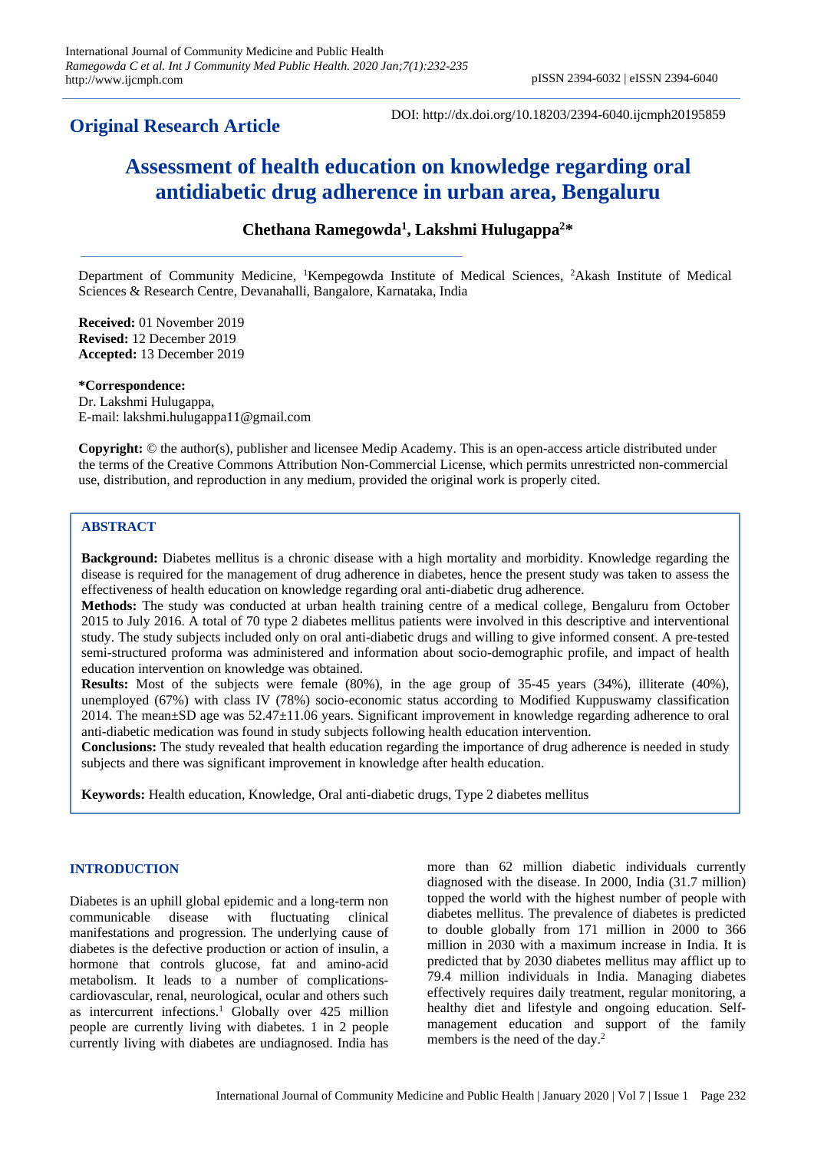# **Original Research Article**

DOI: http://dx.doi.org/10.18203/2394-6040.ijcmph20195859

# **Assessment of health education on knowledge regarding oral antidiabetic drug adherence in urban area, Bengaluru**

# **Chethana Ramegowda<sup>1</sup> , Lakshmi Hulugappa<sup>2</sup>\***

Department of Community Medicine, <sup>1</sup>Kempegowda Institute of Medical Sciences, <sup>2</sup>Akash Institute of Medical Sciences & Research Centre, Devanahalli, Bangalore, Karnataka, India

**Received:** 01 November 2019 **Revised:** 12 December 2019 **Accepted:** 13 December 2019

#### **\*Correspondence:**

Dr. Lakshmi Hulugappa, E-mail: lakshmi.hulugappa11@gmail.com

**Copyright:** © the author(s), publisher and licensee Medip Academy. This is an open-access article distributed under the terms of the Creative Commons Attribution Non-Commercial License, which permits unrestricted non-commercial use, distribution, and reproduction in any medium, provided the original work is properly cited.

# **ABSTRACT**

**Background:** Diabetes mellitus is a chronic disease with a high mortality and morbidity. Knowledge regarding the disease is required for the management of drug adherence in diabetes, hence the present study was taken to assess the effectiveness of health education on knowledge regarding oral anti-diabetic drug adherence.

**Methods:** The study was conducted at urban health training centre of a medical college, Bengaluru from October 2015 to July 2016. A total of 70 type 2 diabetes mellitus patients were involved in this descriptive and interventional study. The study subjects included only on oral anti-diabetic drugs and willing to give informed consent. A pre-tested semi-structured proforma was administered and information about socio-demographic profile, and impact of health education intervention on knowledge was obtained.

**Results:** Most of the subjects were female (80%), in the age group of 35-45 years (34%), illiterate (40%), unemployed (67%) with class IV (78%) socio-economic status according to Modified Kuppuswamy classification 2014. The mean±SD age was 52.47±11.06 years. Significant improvement in knowledge regarding adherence to oral anti-diabetic medication was found in study subjects following health education intervention.

**Conclusions:** The study revealed that health education regarding the importance of drug adherence is needed in study subjects and there was significant improvement in knowledge after health education.

**Keywords:** Health education, Knowledge, Oral anti-diabetic drugs, Type 2 diabetes mellitus

#### **INTRODUCTION**

Diabetes is an uphill global epidemic and a long-term non communicable disease with fluctuating clinical manifestations and progression. The underlying cause of diabetes is the defective production or action of insulin, a hormone that controls glucose, fat and amino-acid metabolism. It leads to a number of complicationscardiovascular, renal, neurological, ocular and others such as intercurrent infections. <sup>1</sup> Globally over 425 million people are currently living with diabetes. 1 in 2 people currently living with diabetes are undiagnosed. India has

more than 62 million diabetic individuals currently diagnosed with the disease. In 2000, India (31.7 million) topped the world with the highest number of people with diabetes mellitus. The prevalence of diabetes is predicted to double globally from 171 million in 2000 to 366 million in 2030 with a maximum increase in India. It is predicted that by 2030 diabetes mellitus may afflict up to 79.4 million individuals in India. Managing diabetes effectively requires daily treatment, regular monitoring, a healthy diet and lifestyle and ongoing education. Selfmanagement education and support of the family members is the need of the day.<sup>2</sup>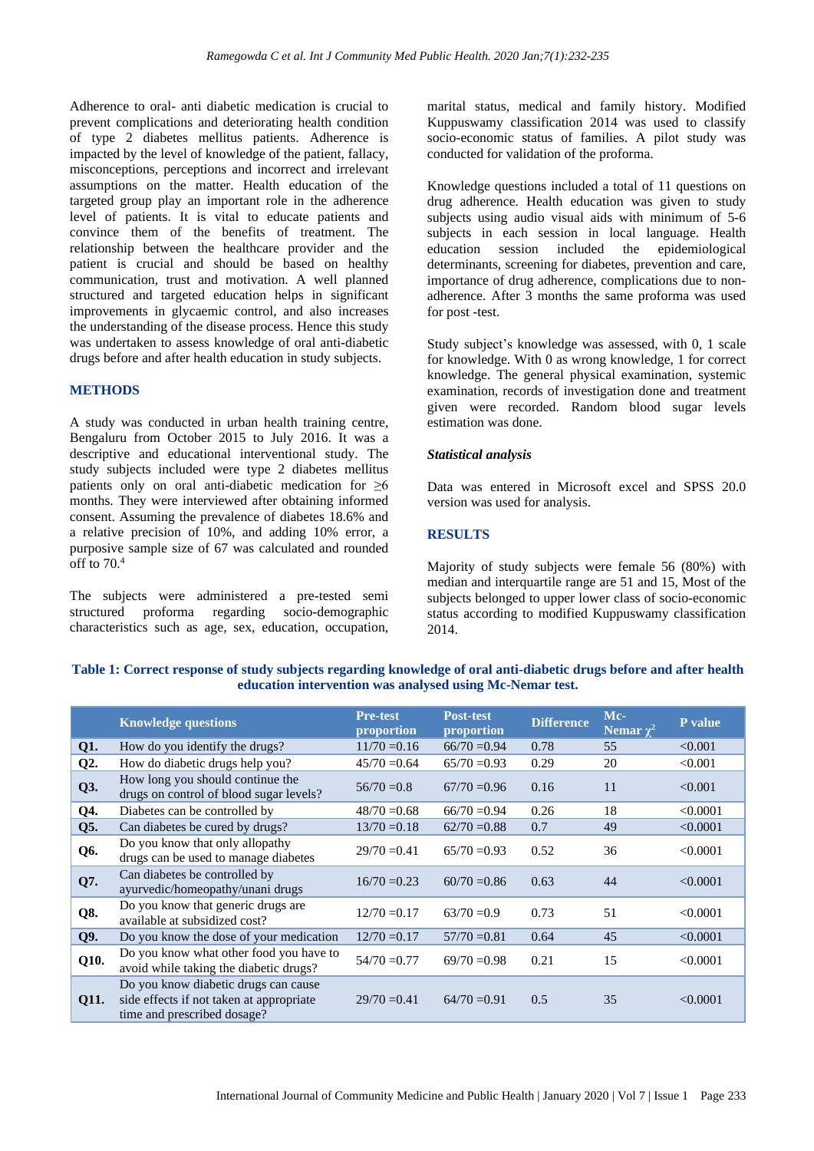Adherence to oral- anti diabetic medication is crucial to prevent complications and deteriorating health condition of type 2 diabetes mellitus patients. Adherence is impacted by the level of knowledge of the patient, fallacy, misconceptions, perceptions and incorrect and irrelevant assumptions on the matter. Health education of the targeted group play an important role in the adherence level of patients. It is vital to educate patients and convince them of the benefits of treatment. The relationship between the healthcare provider and the patient is crucial and should be based on healthy communication, trust and motivation. A well planned structured and targeted education helps in significant improvements in glycaemic control, and also increases the understanding of the disease process. Hence this study was undertaken to assess knowledge of oral anti-diabetic drugs before and after health education in study subjects.

#### **METHODS**

A study was conducted in urban health training centre, Bengaluru from October 2015 to July 2016. It was a descriptive and educational interventional study. The study subjects included were type 2 diabetes mellitus patients only on oral anti-diabetic medication for  $\geq 6$ months. They were interviewed after obtaining informed consent. Assuming the prevalence of diabetes 18.6% and a relative precision of 10%, and adding 10% error, a purposive sample size of 67 was calculated and rounded off to 70.<sup>4</sup>

The subjects were administered a pre-tested semi structured proforma regarding socio-demographic characteristics such as age, sex, education, occupation,

marital status, medical and family history. Modified Kuppuswamy classification 2014 was used to classify socio-economic status of families. A pilot study was conducted for validation of the proforma.

Knowledge questions included a total of 11 questions on drug adherence. Health education was given to study subjects using audio visual aids with minimum of 5-6 subjects in each session in local language. Health education session included the epidemiological determinants, screening for diabetes, prevention and care, importance of drug adherence, complications due to nonadherence. After 3 months the same proforma was used for post -test.

Study subject's knowledge was assessed, with 0, 1 scale for knowledge. With 0 as wrong knowledge, 1 for correct knowledge. The general physical examination, systemic examination, records of investigation done and treatment given were recorded. Random blood sugar levels estimation was done.

#### *Statistical analysis*

Data was entered in Microsoft excel and SPSS 20.0 version was used for analysis.

# **RESULTS**

Majority of study subjects were female 56 (80%) with median and interquartile range are 51 and 15, Most of the subjects belonged to upper lower class of socio-economic status according to modified Kuppuswamy classification 2014.

# **Table 1: Correct response of study subjects regarding knowledge of oral anti-diabetic drugs before and after health education intervention was analysed using Mc-Nemar test.**

|      | <b>Knowledge questions</b>                                                                                      | <b>Pre-test</b><br>proportion | <b>Post-test</b><br>proportion | <b>Difference</b> | Mc-<br>Nemar $\chi^2$ | P value  |
|------|-----------------------------------------------------------------------------------------------------------------|-------------------------------|--------------------------------|-------------------|-----------------------|----------|
| Q1.  | How do you identify the drugs?                                                                                  | $11/70 = 0.16$                | $66/70 = 0.94$                 | 0.78              | 55                    | < 0.001  |
| Q2.  | How do diabetic drugs help you?                                                                                 | $45/70 = 0.64$                | $65/70 = 0.93$                 | 0.29              | 20                    | < 0.001  |
| Q3.  | How long you should continue the<br>drugs on control of blood sugar levels?                                     | $56/70 = 0.8$                 | $67/70 = 0.96$                 | 0.16              | 11                    | < 0.001  |
| Q4.  | Diabetes can be controlled by                                                                                   | $48/70 = 0.68$                | $66/70 = 0.94$                 | 0.26              | 18                    | < 0.0001 |
| Q5.  | Can diabetes be cured by drugs?                                                                                 | $13/70 = 0.18$                | $62/70 = 0.88$                 | 0.7               | 49                    | < 0.0001 |
| Q6.  | Do you know that only allopathy<br>drugs can be used to manage diabetes                                         | $29/70 = 0.41$                | $65/70 = 0.93$                 | 0.52              | 36                    | < 0.0001 |
| Q7.  | Can diabetes be controlled by<br>ayurvedic/homeopathy/unani drugs                                               | $16/70 = 0.23$                | $60/70 = 0.86$                 | 0.63              | 44                    | < 0.0001 |
| Q8.  | Do you know that generic drugs are<br>available at subsidized cost?                                             | $12/70 = 0.17$                | $63/70 = 0.9$                  | 0.73              | 51                    | < 0.0001 |
| Q9.  | Do you know the dose of your medication                                                                         | $12/70 = 0.17$                | $57/70 = 0.81$                 | 0.64              | 45                    | < 0.0001 |
| Q10. | Do you know what other food you have to<br>avoid while taking the diabetic drugs?                               | $54/70 = 0.77$                | $69/70 = 0.98$                 | 0.21              | 15                    | < 0.0001 |
| Q11. | Do you know diabetic drugs can cause<br>side effects if not taken at appropriate<br>time and prescribed dosage? | $29/70 = 0.41$                | $64/70=0.91$                   | 0.5               | 35                    | < 0.0001 |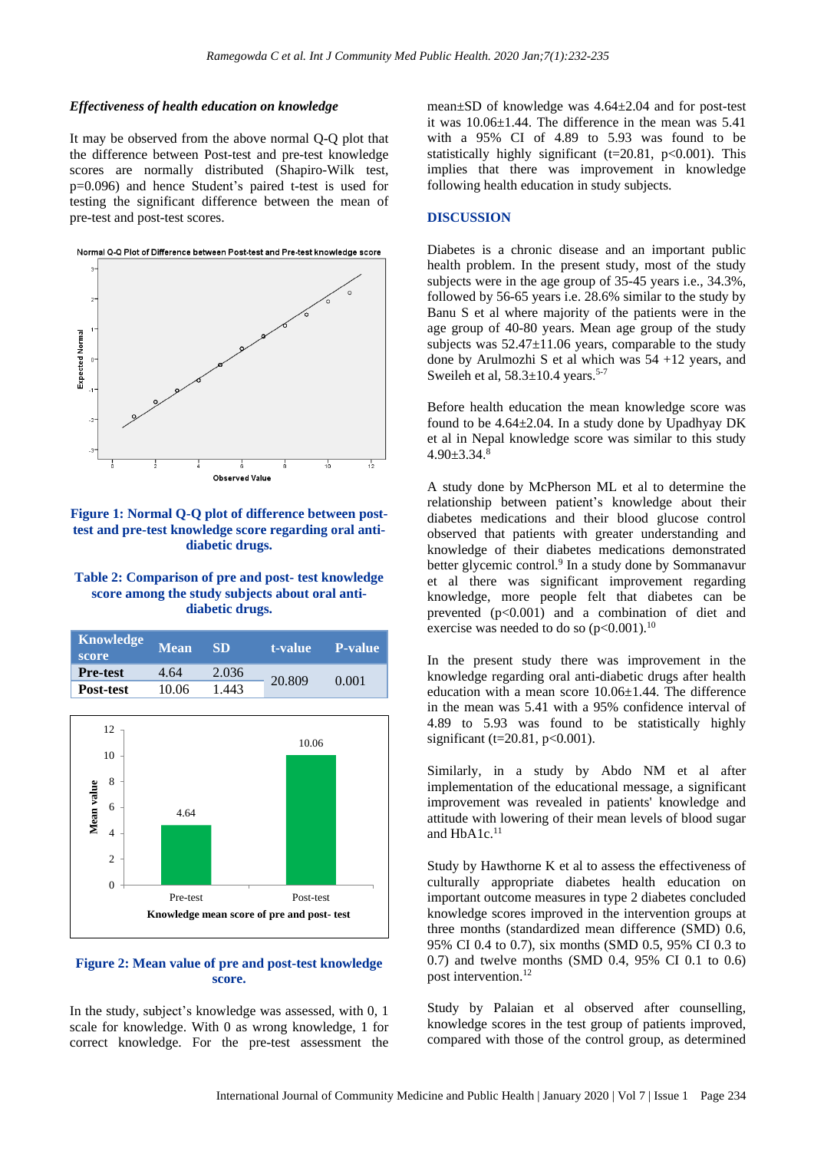#### *Effectiveness of health education on knowledge*

It may be observed from the above normal Q-Q plot that the difference between Post-test and pre-test knowledge scores are normally distributed (Shapiro-Wilk test, p=0.096) and hence Student's paired t-test is used for testing the significant difference between the mean of pre-test and post-test scores.



## **Figure 1: Normal Q-Q plot of difference between posttest and pre-test knowledge score regarding oral antidiabetic drugs.**

# **Table 2: Comparison of pre and post- test knowledge score among the study subjects about oral antidiabetic drugs.**



#### **Figure 2: Mean value of pre and post-test knowledge score.**

In the study, subject's knowledge was assessed, with 0, 1 scale for knowledge. With 0 as wrong knowledge, 1 for correct knowledge. For the pre-test assessment the mean±SD of knowledge was 4.64±2.04 and for post-test it was 10.06±1.44. The difference in the mean was 5.41 with a 95% CI of 4.89 to 5.93 was found to be statistically highly significant (t=20.81, p<0.001). This implies that there was improvement in knowledge following health education in study subjects.

#### **DISCUSSION**

Diabetes is a chronic disease and an important public health problem. In the present study, most of the study subjects were in the age group of 35-45 years i.e., 34.3%, followed by 56-65 years i.e. 28.6% similar to the study by Banu S et al where majority of the patients were in the age group of 40-80 years. Mean age group of the study subjects was 52.47±11.06 years, comparable to the study done by Arulmozhi S et al which was 54 +12 years, and Sweileh et al,  $58.3 \pm 10.4$  years.<sup>5-7</sup>

Before health education the mean knowledge score was found to be 4.64±2.04. In a study done by Upadhyay DK et al in Nepal knowledge score was similar to this study  $4.90 \pm 3.34$ .8

A study done by McPherson ML et al to determine the relationship between patient's knowledge about their diabetes medications and their blood glucose control observed that patients with greater understanding and knowledge of their diabetes medications demonstrated better glycemic control.<sup>9</sup> In a study done by Sommanavur et al there was significant improvement regarding knowledge, more people felt that diabetes can be prevented  $(p<0.001)$  and a combination of diet and exercise was needed to do so  $(p<0.001)$ .<sup>10</sup>

In the present study there was improvement in the knowledge regarding oral anti-diabetic drugs after health education with a mean score  $10.06\pm1.44$ . The difference in the mean was 5.41 with a 95% confidence interval of 4.89 to 5.93 was found to be statistically highly significant (t=20.81, p<0.001).

Similarly, in a study by Abdo NM et al after implementation of the educational message, a significant improvement was revealed in patients' knowledge and attitude with lowering of their mean levels of blood sugar and HbA1c. 11

Study by Hawthorne K et al to assess the effectiveness of culturally appropriate diabetes health education on important outcome measures in type 2 diabetes concluded knowledge scores improved in the intervention groups at three months (standardized mean difference (SMD) 0.6, 95% CI 0.4 to 0.7), six months (SMD 0.5, 95% CI 0.3 to 0.7) and twelve months (SMD 0.4, 95% CI 0.1 to 0.6) post intervention. 12

Study by Palaian et al observed after counselling, knowledge scores in the test group of patients improved, compared with those of the control group, as determined